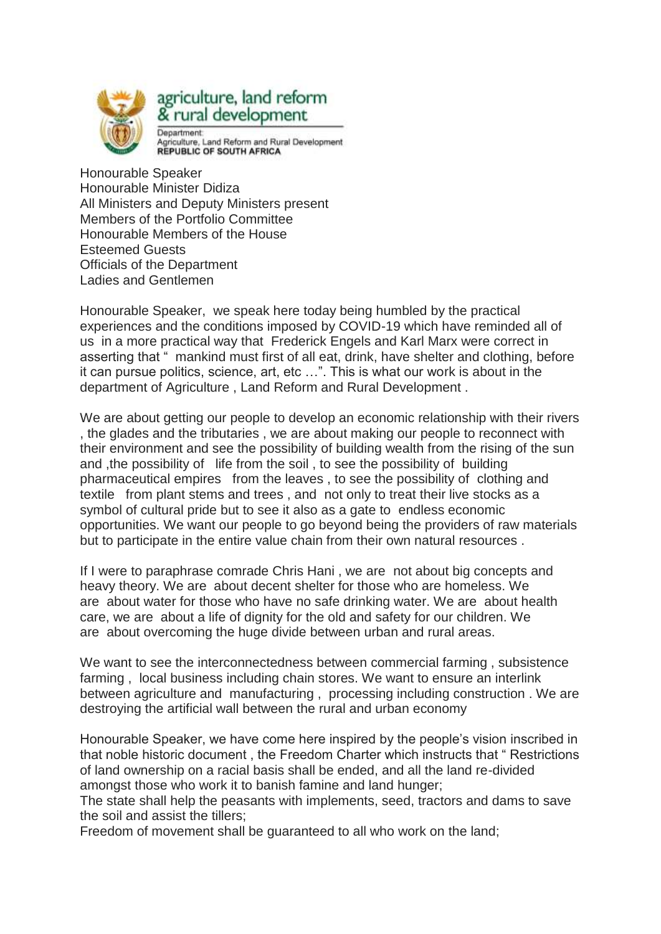

## agriculture, land reform & rural development Denartment

Agriculture, Land Reform and Rural Development<br>REPUBLIC OF SOUTH AFRICA

Honourable Speaker Honourable Minister Didiza All Ministers and Deputy Ministers present Members of the Portfolio Committee Honourable Members of the House Esteemed Guests Officials of the Department Ladies and Gentlemen

Honourable Speaker, we speak here today being humbled by the practical experiences and the conditions imposed by COVID-19 which have reminded all of us in a more practical way that Frederick Engels and Karl Marx were correct in asserting that " mankind must first of all eat, drink, have shelter and clothing, before it can pursue politics, science, art, etc …". This is what our work is about in the department of Agriculture , Land Reform and Rural Development .

We are about getting our people to develop an economic relationship with their rivers , the glades and the tributaries , we are about making our people to reconnect with their environment and see the possibility of building wealth from the rising of the sun and ,the possibility of life from the soil , to see the possibility of building pharmaceutical empires from the leaves , to see the possibility of clothing and textile from plant stems and trees , and not only to treat their live stocks as a symbol of cultural pride but to see it also as a gate to endless economic opportunities. We want our people to go beyond being the providers of raw materials but to participate in the entire value chain from their own natural resources .

If I were to paraphrase comrade Chris Hani , we are not about big concepts and heavy theory. We are about decent shelter for those who are homeless. We are about water for those who have no safe drinking water. We are about health care, we are about a life of dignity for the old and safety for our children. We are about overcoming the huge divide between urban and rural areas.

We want to see the interconnectedness between commercial farming , subsistence farming , local business including chain stores. We want to ensure an interlink between agriculture and manufacturing , processing including construction . We are destroying the artificial wall between the rural and urban economy

Honourable Speaker, we have come here inspired by the people's vision inscribed in that noble historic document , the Freedom Charter which instructs that " Restrictions of land ownership on a racial basis shall be ended, and all the land re-divided amongst those who work it to banish famine and land hunger;

The state shall help the peasants with implements, seed, tractors and dams to save the soil and assist the tillers;

Freedom of movement shall be guaranteed to all who work on the land;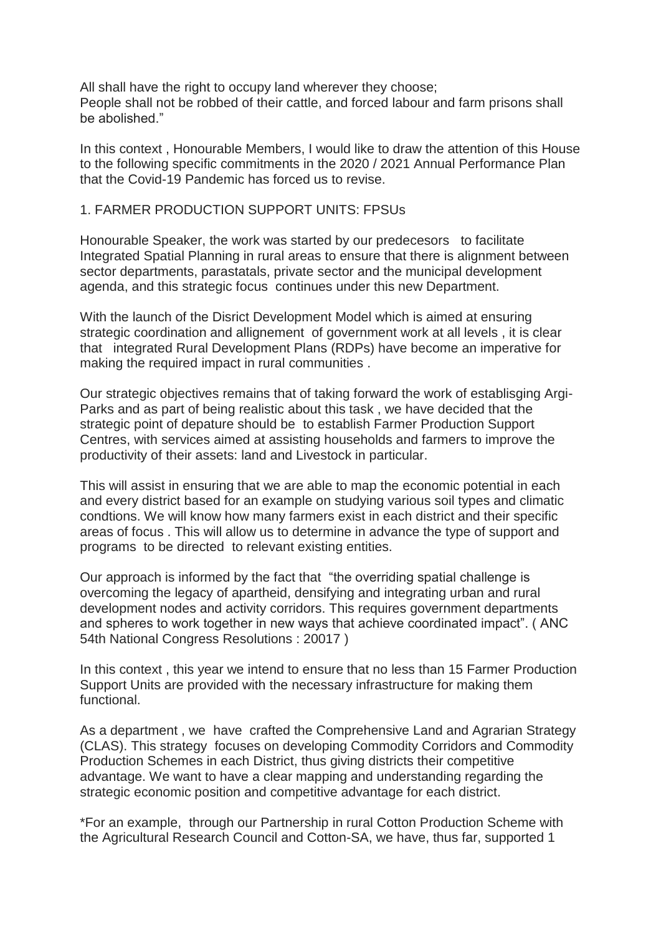All shall have the right to occupy land wherever they choose; People shall not be robbed of their cattle, and forced labour and farm prisons shall be abolished."

In this context , Honourable Members, I would like to draw the attention of this House to the following specific commitments in the 2020 / 2021 Annual Performance Plan that the Covid-19 Pandemic has forced us to revise.

## 1. FARMER PRODUCTION SUPPORT UNITS: FPSUs

Honourable Speaker, the work was started by our predecesors to facilitate Integrated Spatial Planning in rural areas to ensure that there is alignment between sector departments, parastatals, private sector and the municipal development agenda, and this strategic focus continues under this new Department.

With the launch of the Disrict Development Model which is aimed at ensuring strategic coordination and allignement of government work at all levels , it is clear that integrated Rural Development Plans (RDPs) have become an imperative for making the required impact in rural communities .

Our strategic objectives remains that of taking forward the work of establisging Argi-Parks and as part of being realistic about this task , we have decided that the strategic point of depature should be to establish Farmer Production Support Centres, with services aimed at assisting households and farmers to improve the productivity of their assets: land and Livestock in particular.

This will assist in ensuring that we are able to map the economic potential in each and every district based for an example on studying various soil types and climatic condtions. We will know how many farmers exist in each district and their specific areas of focus . This will allow us to determine in advance the type of support and programs to be directed to relevant existing entities.

Our approach is informed by the fact that "the overriding spatial challenge is overcoming the legacy of apartheid, densifying and integrating urban and rural development nodes and activity corridors. This requires government departments and spheres to work together in new ways that achieve coordinated impact". ( ANC 54th National Congress Resolutions : 20017 )

In this context , this year we intend to ensure that no less than 15 Farmer Production Support Units are provided with the necessary infrastructure for making them functional.

As a department , we have crafted the Comprehensive Land and Agrarian Strategy (CLAS). This strategy focuses on developing Commodity Corridors and Commodity Production Schemes in each District, thus giving districts their competitive advantage. We want to have a clear mapping and understanding regarding the strategic economic position and competitive advantage for each district.

\*For an example, through our Partnership in rural Cotton Production Scheme with the Agricultural Research Council and Cotton-SA, we have, thus far, supported 1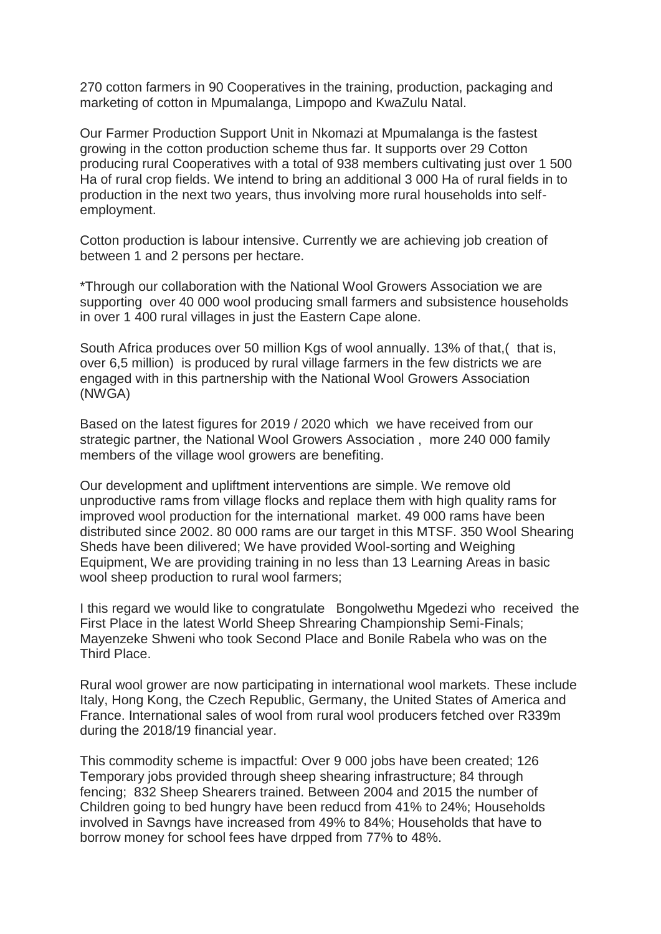270 cotton farmers in 90 Cooperatives in the training, production, packaging and marketing of cotton in Mpumalanga, Limpopo and KwaZulu Natal.

Our Farmer Production Support Unit in Nkomazi at Mpumalanga is the fastest growing in the cotton production scheme thus far. It supports over 29 Cotton producing rural Cooperatives with a total of 938 members cultivating just over 1 500 Ha of rural crop fields. We intend to bring an additional 3 000 Ha of rural fields in to production in the next two years, thus involving more rural households into selfemployment.

Cotton production is labour intensive. Currently we are achieving job creation of between 1 and 2 persons per hectare.

\*Through our collaboration with the National Wool Growers Association we are supporting over 40 000 wool producing small farmers and subsistence households in over 1 400 rural villages in just the Eastern Cape alone.

South Africa produces over 50 million Kgs of wool annually. 13% of that, (that is, over 6,5 million) is produced by rural village farmers in the few districts we are engaged with in this partnership with the National Wool Growers Association (NWGA)

Based on the latest figures for 2019 / 2020 which we have received from our strategic partner, the National Wool Growers Association , more 240 000 family members of the village wool growers are benefiting.

Our development and upliftment interventions are simple. We remove old unproductive rams from village flocks and replace them with high quality rams for improved wool production for the international market. 49 000 rams have been distributed since 2002. 80 000 rams are our target in this MTSF. 350 Wool Shearing Sheds have been dilivered; We have provided Wool-sorting and Weighing Equipment, We are providing training in no less than 13 Learning Areas in basic wool sheep production to rural wool farmers;

I this regard we would like to congratulate Bongolwethu Mgedezi who received the First Place in the latest World Sheep Shrearing Championship Semi-Finals; Mayenzeke Shweni who took Second Place and Bonile Rabela who was on the Third Place.

Rural wool grower are now participating in international wool markets. These include Italy, Hong Kong, the Czech Republic, Germany, the United States of America and France. International sales of wool from rural wool producers fetched over R339m during the 2018/19 financial year.

This commodity scheme is impactful: Over 9 000 jobs have been created; 126 Temporary jobs provided through sheep shearing infrastructure; 84 through fencing; 832 Sheep Shearers trained. Between 2004 and 2015 the number of Children going to bed hungry have been reducd from 41% to 24%; Households involved in Savngs have increased from 49% to 84%; Households that have to borrow money for school fees have drpped from 77% to 48%.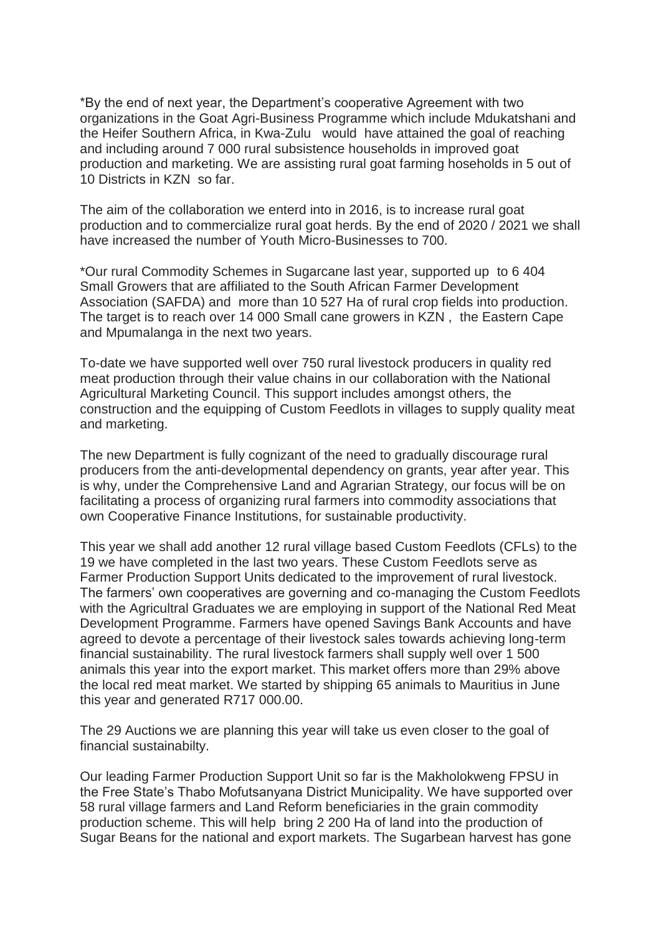\*By the end of next year, the Department's cooperative Agreement with two organizations in the Goat Agri-Business Programme which include Mdukatshani and the Heifer Southern Africa, in Kwa-Zulu would have attained the goal of reaching and including around 7 000 rural subsistence households in improved goat production and marketing. We are assisting rural goat farming hoseholds in 5 out of 10 Districts in KZN so far.

The aim of the collaboration we enterd into in 2016, is to increase rural goat production and to commercialize rural goat herds. By the end of 2020 / 2021 we shall have increased the number of Youth Micro-Businesses to 700.

\*Our rural Commodity Schemes in Sugarcane last year, supported up to 6 404 Small Growers that are affiliated to the South African Farmer Development Association (SAFDA) and more than 10 527 Ha of rural crop fields into production. The target is to reach over 14 000 Small cane growers in KZN , the Eastern Cape and Mpumalanga in the next two years.

To-date we have supported well over 750 rural livestock producers in quality red meat production through their value chains in our collaboration with the National Agricultural Marketing Council. This support includes amongst others, the construction and the equipping of Custom Feedlots in villages to supply quality meat and marketing.

The new Department is fully cognizant of the need to gradually discourage rural producers from the anti-developmental dependency on grants, year after year. This is why, under the Comprehensive Land and Agrarian Strategy, our focus will be on facilitating a process of organizing rural farmers into commodity associations that own Cooperative Finance Institutions, for sustainable productivity.

This year we shall add another 12 rural village based Custom Feedlots (CFLs) to the 19 we have completed in the last two years. These Custom Feedlots serve as Farmer Production Support Units dedicated to the improvement of rural livestock. The farmers' own cooperatives are governing and co-managing the Custom Feedlots with the Agricultral Graduates we are employing in support of the National Red Meat Development Programme. Farmers have opened Savings Bank Accounts and have agreed to devote a percentage of their livestock sales towards achieving long-term financial sustainability. The rural livestock farmers shall supply well over 1 500 animals this year into the export market. This market offers more than 29% above the local red meat market. We started by shipping 65 animals to Mauritius in June this year and generated R717 000.00.

The 29 Auctions we are planning this year will take us even closer to the goal of financial sustainabilty.

Our leading Farmer Production Support Unit so far is the Makholokweng FPSU in the Free State's Thabo Mofutsanyana District Municipality. We have supported over 58 rural village farmers and Land Reform beneficiaries in the grain commodity production scheme. This will help bring 2 200 Ha of land into the production of Sugar Beans for the national and export markets. The Sugarbean harvest has gone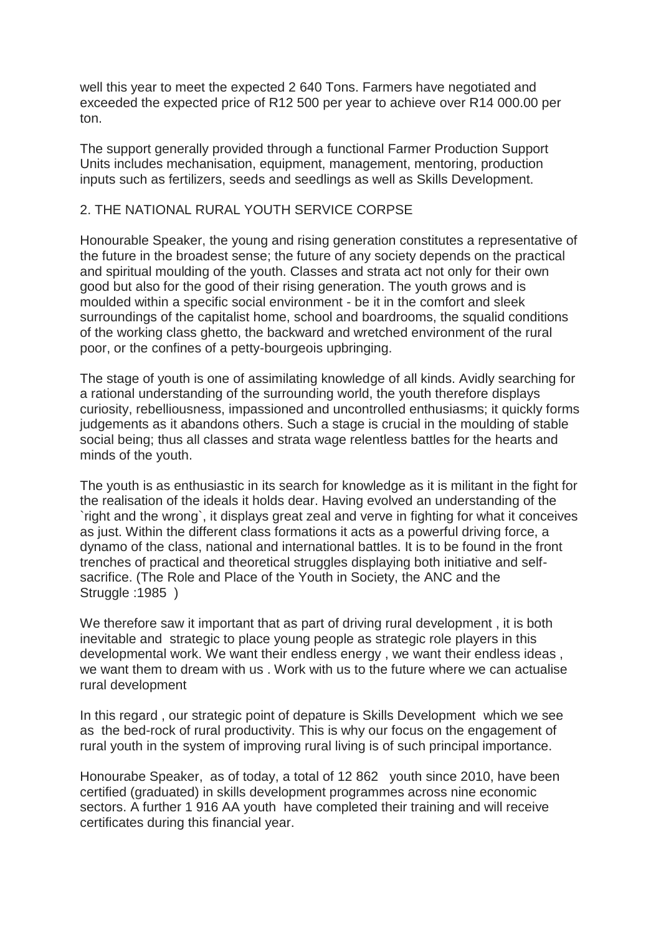well this year to meet the expected 2 640 Tons. Farmers have negotiated and exceeded the expected price of R12 500 per year to achieve over R14 000.00 per ton.

The support generally provided through a functional Farmer Production Support Units includes mechanisation, equipment, management, mentoring, production inputs such as fertilizers, seeds and seedlings as well as Skills Development.

## 2. THE NATIONAL RURAL YOUTH SERVICE CORPSE

Honourable Speaker, the young and rising generation constitutes a representative of the future in the broadest sense; the future of any society depends on the practical and spiritual moulding of the youth. Classes and strata act not only for their own good but also for the good of their rising generation. The youth grows and is moulded within a specific social environment - be it in the comfort and sleek surroundings of the capitalist home, school and boardrooms, the squalid conditions of the working class ghetto, the backward and wretched environment of the rural poor, or the confines of a petty-bourgeois upbringing.

The stage of youth is one of assimilating knowledge of all kinds. Avidly searching for a rational understanding of the surrounding world, the youth therefore displays curiosity, rebelliousness, impassioned and uncontrolled enthusiasms; it quickly forms judgements as it abandons others. Such a stage is crucial in the moulding of stable social being; thus all classes and strata wage relentless battles for the hearts and minds of the youth.

The youth is as enthusiastic in its search for knowledge as it is militant in the fight for the realisation of the ideals it holds dear. Having evolved an understanding of the `right and the wrong`, it displays great zeal and verve in fighting for what it conceives as just. Within the different class formations it acts as a powerful driving force, a dynamo of the class, national and international battles. It is to be found in the front trenches of practical and theoretical struggles displaying both initiative and selfsacrifice. (The Role and Place of the Youth in Society, the ANC and the Struggle :1985 )

We therefore saw it important that as part of driving rural development , it is both inevitable and strategic to place young people as strategic role players in this developmental work. We want their endless energy , we want their endless ideas , we want them to dream with us . Work with us to the future where we can actualise rural development

In this regard , our strategic point of depature is Skills Development which we see as the bed-rock of rural productivity. This is why our focus on the engagement of rural youth in the system of improving rural living is of such principal importance.

Honourabe Speaker, as of today, a total of 12 862 youth since 2010, have been certified (graduated) in skills development programmes across nine economic sectors. A further 1 916 AA youth have completed their training and will receive certificates during this financial year.